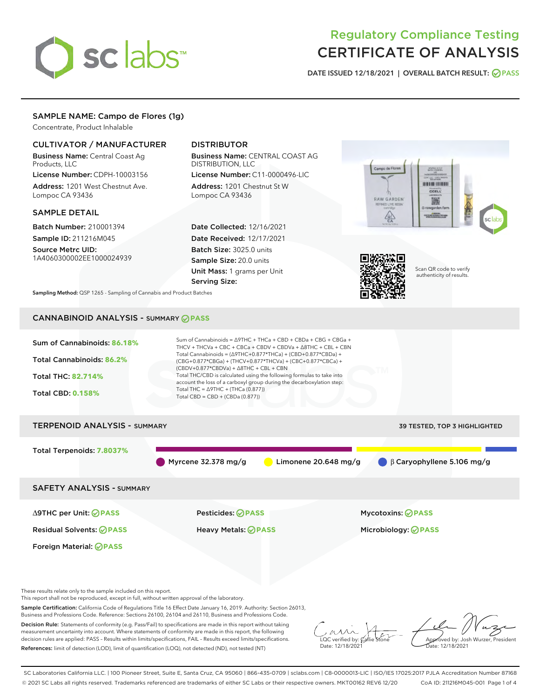# sclabs<sup>\*</sup>

# Regulatory Compliance Testing CERTIFICATE OF ANALYSIS

DATE ISSUED 12/18/2021 | OVERALL BATCH RESULT: @ PASS

# SAMPLE NAME: Campo de Flores (1g)

Concentrate, Product Inhalable

# CULTIVATOR / MANUFACTURER

Business Name: Central Coast Ag Products, LLC

License Number: CDPH-10003156 Address: 1201 West Chestnut Ave. Lompoc CA 93436

#### SAMPLE DETAIL

Batch Number: 210001394 Sample ID: 211216M045

Source Metrc UID: 1A4060300002EE1000024939

# DISTRIBUTOR

Business Name: CENTRAL COAST AG DISTRIBUTION, LLC License Number: C11-0000496-LIC

Address: 1201 Chestnut St W Lompoc CA 93436

Date Collected: 12/16/2021 Date Received: 12/17/2021 Batch Size: 3025.0 units Sample Size: 20.0 units Unit Mass: 1 grams per Unit Serving Size:





Scan QR code to verify authenticity of results.

Sampling Method: QSP 1265 - Sampling of Cannabis and Product Batches

# CANNABINOID ANALYSIS - SUMMARY **PASS**



These results relate only to the sample included on this report.

This report shall not be reproduced, except in full, without written approval of the laboratory.

Sample Certification: California Code of Regulations Title 16 Effect Date January 16, 2019. Authority: Section 26013, Business and Professions Code. Reference: Sections 26100, 26104 and 26110, Business and Professions Code.

Decision Rule: Statements of conformity (e.g. Pass/Fail) to specifications are made in this report without taking measurement uncertainty into account. Where statements of conformity are made in this report, the following decision rules are applied: PASS – Results within limits/specifications, FAIL – Results exceed limits/specifications. References: limit of detection (LOD), limit of quantification (LOQ), not detected (ND), not tested (NT)

 $\overline{\text{LOC}}$  verified by:  $\mathcal{C}_i$ Date: 12/18/2021

Approved by: Josh Wurzer, President ate: 12/18/2021

SC Laboratories California LLC. | 100 Pioneer Street, Suite E, Santa Cruz, CA 95060 | 866-435-0709 | sclabs.com | C8-0000013-LIC | ISO/IES 17025:2017 PJLA Accreditation Number 87168 © 2021 SC Labs all rights reserved. Trademarks referenced are trademarks of either SC Labs or their respective owners. MKT00162 REV6 12/20 CoA ID: 211216M045-001 Page 1 of 4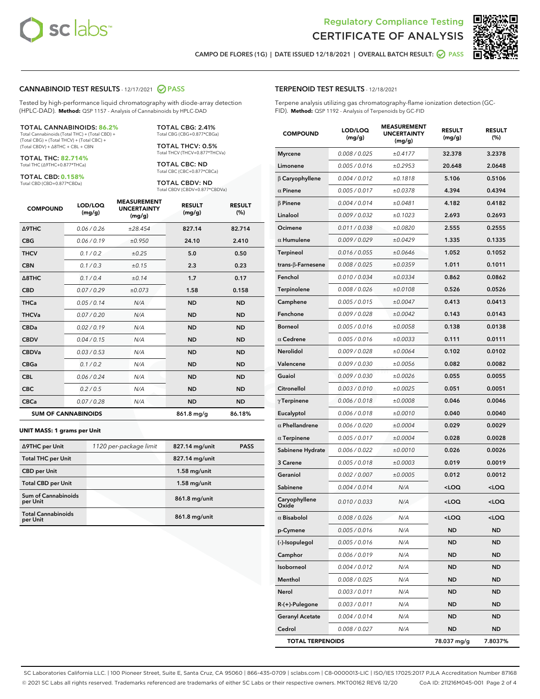



CAMPO DE FLORES (1G) | DATE ISSUED 12/18/2021 | OVERALL BATCH RESULT:  $\bigcirc$  PASS

#### CANNABINOID TEST RESULTS - 12/17/2021 2 PASS

Tested by high-performance liquid chromatography with diode-array detection (HPLC-DAD). **Method:** QSP 1157 - Analysis of Cannabinoids by HPLC-DAD

#### TOTAL CANNABINOIDS: **86.2%**

Total Cannabinoids (Total THC) + (Total CBD) + (Total CBG) + (Total THCV) + (Total CBC) + (Total CBDV) + ∆8THC + CBL + CBN

TOTAL THC: **82.714%** Total THC (∆9THC+0.877\*THCa)

TOTAL CBD: **0.158%**

Total CBD (CBD+0.877\*CBDa)

TOTAL CBG: 2.41% Total CBG (CBG+0.877\*CBGa)

TOTAL THCV: 0.5% Total THCV (THCV+0.877\*THCVa)

TOTAL CBC: ND Total CBC (CBC+0.877\*CBCa)

TOTAL CBDV: ND Total CBDV (CBDV+0.877\*CBDVa)

| <b>COMPOUND</b>  | LOD/LOQ<br>(mg/g)          | <b>MEASUREMENT</b><br><b>UNCERTAINTY</b><br>(mg/g) | <b>RESULT</b><br>(mg/g) | <b>RESULT</b><br>(%) |
|------------------|----------------------------|----------------------------------------------------|-------------------------|----------------------|
| Δ9THC            | 0.06/0.26                  | ±28.454                                            | 827.14                  | 82.714               |
| <b>CBG</b>       | 0.06/0.19                  | ±0.950                                             | 24.10                   | 2.410                |
| <b>THCV</b>      | 0.1/0.2                    | ±0.25                                              | 5.0                     | 0.50                 |
| <b>CBN</b>       | 0.1/0.3                    | ±0.15                                              | 2.3                     | 0.23                 |
| $\triangle$ 8THC | 0.1/0.4                    | ±0.14                                              | 1.7                     | 0.17                 |
| <b>CBD</b>       | 0.07/0.29                  | ±0.073                                             | 1.58                    | 0.158                |
| <b>THCa</b>      | 0.05/0.14                  | N/A                                                | <b>ND</b>               | <b>ND</b>            |
| <b>THCVa</b>     | 0.07 / 0.20                | N/A                                                | <b>ND</b>               | <b>ND</b>            |
| <b>CBDa</b>      | 0.02/0.19                  | N/A                                                | <b>ND</b>               | <b>ND</b>            |
| <b>CBDV</b>      | 0.04 / 0.15                | N/A                                                | <b>ND</b>               | <b>ND</b>            |
| <b>CBDVa</b>     | 0.03/0.53                  | N/A                                                | <b>ND</b>               | <b>ND</b>            |
| <b>CBGa</b>      | 0.1/0.2                    | N/A                                                | <b>ND</b>               | <b>ND</b>            |
| <b>CBL</b>       | 0.06 / 0.24                | N/A                                                | <b>ND</b>               | <b>ND</b>            |
| <b>CBC</b>       | 0.2 / 0.5                  | N/A                                                | <b>ND</b>               | <b>ND</b>            |
| <b>CBCa</b>      | 0.07 / 0.28                | N/A                                                | <b>ND</b>               | <b>ND</b>            |
|                  | <b>SUM OF CANNABINOIDS</b> |                                                    | 861.8 mg/g              | 86.18%               |

#### **UNIT MASS: 1 grams per Unit**

| ∆9THC per Unit                         | 1120 per-package limit | 827.14 mg/unit  | <b>PASS</b> |
|----------------------------------------|------------------------|-----------------|-------------|
| <b>Total THC per Unit</b>              |                        | 827.14 mg/unit  |             |
| <b>CBD</b> per Unit                    |                        | $1.58$ mg/unit  |             |
| <b>Total CBD per Unit</b>              |                        | $1.58$ mg/unit  |             |
| <b>Sum of Cannabinoids</b><br>per Unit |                        | 861.8 mg/unit   |             |
| <b>Total Cannabinoids</b><br>per Unit  |                        | $861.8$ mg/unit |             |

| <b>COMPOUND</b>           | LOD/LOQ<br>(mg/g) | <b>MEASUREMENT</b><br><b>UNCERTAINTY</b><br>(mg/g) | <b>RESULT</b><br>(mg/g)                         | <b>RESULT</b><br>(%) |
|---------------------------|-------------------|----------------------------------------------------|-------------------------------------------------|----------------------|
| <b>Myrcene</b>            | 0.008 / 0.025     | ±0.4177                                            | 32.378                                          | 3.2378               |
| Limonene                  | 0.005 / 0.016     | ±0.2953                                            | 20.648                                          | 2.0648               |
| $\beta$ Caryophyllene     | 0.004 / 0.012     | ±0.1818                                            | 5.106                                           | 0.5106               |
| $\alpha$ Pinene           | 0.005 / 0.017     | ±0.0378                                            | 4.394                                           | 0.4394               |
| $\beta$ Pinene            | 0.004 / 0.014     | ±0.0481                                            | 4.182                                           | 0.4182               |
| Linalool                  | 0.009 / 0.032     | ±0.1023                                            | 2.693                                           | 0.2693               |
| Ocimene                   | 0.011 / 0.038     | ±0.0820                                            | 2.555                                           | 0.2555               |
| $\alpha$ Humulene         | 0.009 / 0.029     | ±0.0429                                            | 1.335                                           | 0.1335               |
| <b>Terpineol</b>          | 0.016 / 0.055     | ±0.0646                                            | 1.052                                           | 0.1052               |
| trans- $\beta$ -Farnesene | 0.008 / 0.025     | ±0.0359                                            | 1.011                                           | 0.1011               |
| Fenchol                   | 0.010 / 0.034     | ±0.0334                                            | 0.862                                           | 0.0862               |
| Terpinolene               | 0.008 / 0.026     | ±0.0108                                            | 0.526                                           | 0.0526               |
| Camphene                  | 0.005 / 0.015     | ±0.0047                                            | 0.413                                           | 0.0413               |
| Fenchone                  | 0.009 / 0.028     | ±0.0042                                            | 0.143                                           | 0.0143               |
| Borneol                   | 0.005 / 0.016     | ±0.0058                                            | 0.138                                           | 0.0138               |
| $\alpha$ Cedrene          | 0.005 / 0.016     | ±0.0033                                            | 0.111                                           | 0.0111               |
| Nerolidol                 | 0.009 / 0.028     | ±0.0064                                            | 0.102                                           | 0.0102               |
| Valencene                 | 0.009 / 0.030     | ±0.0056                                            | 0.082                                           | 0.0082               |
| Guaiol                    | 0.009 / 0.030     | ±0.0026                                            | 0.055                                           | 0.0055               |
| Citronellol               | 0.003 / 0.010     | ±0.0025                                            | 0.051                                           | 0.0051               |
| $\gamma$ Terpinene        | 0.006 / 0.018     | ±0.0008                                            | 0.046                                           | 0.0046               |
| Eucalyptol                | 0.006 / 0.018     | ±0.0010                                            | 0.040                                           | 0.0040               |
| $\alpha$ Phellandrene     | 0.006 / 0.020     | ±0.0004                                            | 0.029                                           | 0.0029               |
| $\alpha$ Terpinene        | 0.005 / 0.017     | ±0.0004                                            | 0.028                                           | 0.0028               |
| Sabinene Hydrate          | 0.006 / 0.022     | ±0.0010                                            | 0.026                                           | 0.0026               |
| 3 Carene                  | 0.005 / 0.018     | ±0.0003                                            | 0.019                                           | 0.0019               |
| Geraniol                  | 0.002 / 0.007     | ±0.0005                                            | 0.012                                           | 0.0012               |
| Sabinene                  | 0.004 / 0.014     | N/A                                                | <loq< th=""><th><loq< th=""></loq<></th></loq<> | <loq< th=""></loq<>  |
| Caryophyllene<br>Oxide    | 0.010 / 0.033     | N/A                                                | <loq< th=""><th><loq< th=""></loq<></th></loq<> | <loq< th=""></loq<>  |
| $\alpha$ Bisabolol        | 0.008 / 0.026     | N/A                                                | $\sim$ 00                                       | 100 <sub>2</sub>     |
| p-Cymene                  | 0.005 / 0.016     | N/A                                                | ND                                              | ND                   |
| (-)-Isopulegol            | 0.005 / 0.016     | N/A                                                | <b>ND</b>                                       | ND                   |
| Camphor                   | 0.006 / 0.019     | N/A                                                | ND                                              | ND                   |
| Isoborneol                | 0.004 / 0.012     | N/A                                                | ND                                              | ND                   |
| Menthol                   | 0.008 / 0.025     | N/A                                                | ND                                              | ND                   |
| Nerol                     | 0.003 / 0.011     | N/A                                                | ND                                              | ND                   |
| $R-(+)$ -Pulegone         | 0.003 / 0.011     | N/A                                                | ND                                              | ND                   |
| <b>Geranyl Acetate</b>    | 0.004 / 0.014     | N/A                                                | ND                                              | ND                   |
| Cedrol                    | 0.008 / 0.027     | N/A                                                | ND                                              | ND                   |
| <b>TOTAL TERPENOIDS</b>   |                   |                                                    | 78.037 mg/g                                     | 7.8037%              |

SC Laboratories California LLC. | 100 Pioneer Street, Suite E, Santa Cruz, CA 95060 | 866-435-0709 | sclabs.com | C8-0000013-LIC | ISO/IES 17025:2017 PJLA Accreditation Number 87168 © 2021 SC Labs all rights reserved. Trademarks referenced are trademarks of either SC Labs or their respective owners. MKT00162 REV6 12/20 CoA ID: 211216M045-001 Page 2 of 4

# TERPENOID TEST RESULTS - 12/18/2021

Terpene analysis utilizing gas chromatography-flame ionization detection (GC-FID). **Method:** QSP 1192 - Analysis of Terpenoids by GC-FID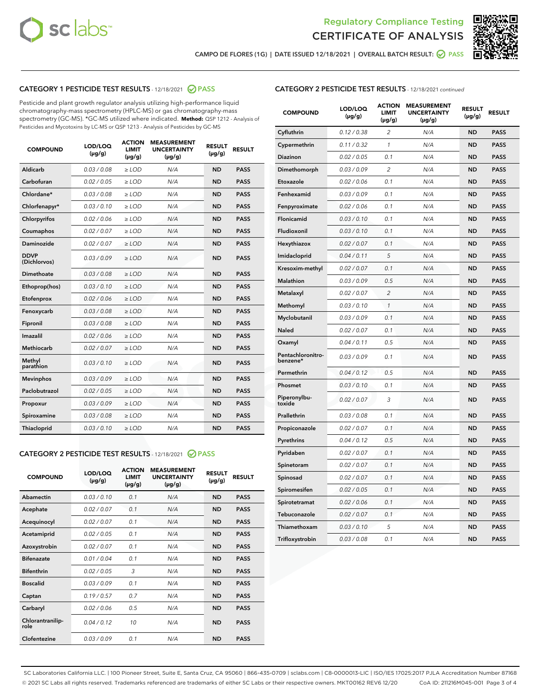



CAMPO DE FLORES (1G) | DATE ISSUED 12/18/2021 | OVERALL BATCH RESULT:  $\bigcirc$  PASS

# CATEGORY 1 PESTICIDE TEST RESULTS - 12/18/2021 @ PASS

Pesticide and plant growth regulator analysis utilizing high-performance liquid chromatography-mass spectrometry (HPLC-MS) or gas chromatography-mass spectrometry (GC-MS). \*GC-MS utilized where indicated. **Method:** QSP 1212 - Analysis of Pesticides and Mycotoxins by LC-MS or QSP 1213 - Analysis of Pesticides by GC-MS

| <b>COMPOUND</b>             | LOD/LOQ<br>$(\mu g/g)$ | <b>ACTION</b><br><b>LIMIT</b><br>$(\mu g/g)$ | <b>MEASUREMENT</b><br><b>UNCERTAINTY</b><br>$(\mu g/g)$ | <b>RESULT</b><br>$(\mu g/g)$ | <b>RESULT</b> |
|-----------------------------|------------------------|----------------------------------------------|---------------------------------------------------------|------------------------------|---------------|
| Aldicarb                    | 0.03 / 0.08            | $\ge$ LOD                                    | N/A                                                     | <b>ND</b>                    | <b>PASS</b>   |
| Carbofuran                  | 0.02/0.05              | $>$ LOD                                      | N/A                                                     | <b>ND</b>                    | <b>PASS</b>   |
| Chlordane*                  | 0.03 / 0.08            | $\ge$ LOD                                    | N/A                                                     | <b>ND</b>                    | <b>PASS</b>   |
| Chlorfenapyr*               | 0.03/0.10              | $\ge$ LOD                                    | N/A                                                     | <b>ND</b>                    | <b>PASS</b>   |
| Chlorpyrifos                | 0.02 / 0.06            | $\ge$ LOD                                    | N/A                                                     | <b>ND</b>                    | <b>PASS</b>   |
| Coumaphos                   | 0.02 / 0.07            | $>$ LOD                                      | N/A                                                     | <b>ND</b>                    | <b>PASS</b>   |
| Daminozide                  | 0.02 / 0.07            | $\ge$ LOD                                    | N/A                                                     | <b>ND</b>                    | <b>PASS</b>   |
| <b>DDVP</b><br>(Dichlorvos) | 0.03/0.09              | $\ge$ LOD                                    | N/A                                                     | <b>ND</b>                    | <b>PASS</b>   |
| <b>Dimethoate</b>           | 0.03 / 0.08            | $\ge$ LOD                                    | N/A                                                     | <b>ND</b>                    | <b>PASS</b>   |
| Ethoprop(hos)               | 0.03/0.10              | $>$ LOD                                      | N/A                                                     | <b>ND</b>                    | <b>PASS</b>   |
| Etofenprox                  | 0.02 / 0.06            | $\ge$ LOD                                    | N/A                                                     | <b>ND</b>                    | <b>PASS</b>   |
| Fenoxycarb                  | 0.03 / 0.08            | $>$ LOD                                      | N/A                                                     | <b>ND</b>                    | <b>PASS</b>   |
| Fipronil                    | 0.03 / 0.08            | $\ge$ LOD                                    | N/A                                                     | <b>ND</b>                    | <b>PASS</b>   |
| Imazalil                    | 0.02 / 0.06            | $\ge$ LOD                                    | N/A                                                     | <b>ND</b>                    | <b>PASS</b>   |
| Methiocarb                  | 0.02 / 0.07            | $\ge$ LOD                                    | N/A                                                     | <b>ND</b>                    | <b>PASS</b>   |
| Methyl<br>parathion         | 0.03/0.10              | $>$ LOD                                      | N/A                                                     | <b>ND</b>                    | <b>PASS</b>   |
| <b>Mevinphos</b>            | 0.03/0.09              | $>$ LOD                                      | N/A                                                     | <b>ND</b>                    | <b>PASS</b>   |
| Paclobutrazol               | 0.02 / 0.05            | $\ge$ LOD                                    | N/A                                                     | <b>ND</b>                    | <b>PASS</b>   |
| Propoxur                    | 0.03/0.09              | $\ge$ LOD                                    | N/A                                                     | <b>ND</b>                    | <b>PASS</b>   |
| Spiroxamine                 | 0.03 / 0.08            | $\ge$ LOD                                    | N/A                                                     | <b>ND</b>                    | <b>PASS</b>   |
| <b>Thiacloprid</b>          | 0.03/0.10              | $\ge$ LOD                                    | N/A                                                     | <b>ND</b>                    | <b>PASS</b>   |
|                             |                        |                                              |                                                         |                              |               |

# CATEGORY 2 PESTICIDE TEST RESULTS - 12/18/2021 @ PASS

| <b>COMPOUND</b>          | LOD/LOQ<br>$(\mu g/g)$ | <b>ACTION</b><br>LIMIT<br>$(\mu g/g)$ | <b>MEASUREMENT</b><br><b>UNCERTAINTY</b><br>$(\mu g/g)$ | <b>RESULT</b><br>$(\mu g/g)$ | <b>RESULT</b> |
|--------------------------|------------------------|---------------------------------------|---------------------------------------------------------|------------------------------|---------------|
| Abamectin                | 0.03/0.10              | 0.1                                   | N/A                                                     | <b>ND</b>                    | <b>PASS</b>   |
| Acephate                 | 0.02/0.07              | 0.1                                   | N/A                                                     | <b>ND</b>                    | <b>PASS</b>   |
| Acequinocyl              | 0.02/0.07              | 0.1                                   | N/A                                                     | <b>ND</b>                    | <b>PASS</b>   |
| Acetamiprid              | 0.02/0.05              | 0.1                                   | N/A                                                     | <b>ND</b>                    | <b>PASS</b>   |
| Azoxystrobin             | 0.02/0.07              | 0.1                                   | N/A                                                     | <b>ND</b>                    | <b>PASS</b>   |
| <b>Bifenazate</b>        | 0.01/0.04              | 0.1                                   | N/A                                                     | <b>ND</b>                    | <b>PASS</b>   |
| <b>Bifenthrin</b>        | 0.02/0.05              | 3                                     | N/A                                                     | <b>ND</b>                    | <b>PASS</b>   |
| <b>Boscalid</b>          | 0.03/0.09              | 0.1                                   | N/A                                                     | <b>ND</b>                    | <b>PASS</b>   |
| Captan                   | 0.19/0.57              | 0.7                                   | N/A                                                     | <b>ND</b>                    | <b>PASS</b>   |
| Carbaryl                 | 0.02/0.06              | 0.5                                   | N/A                                                     | <b>ND</b>                    | <b>PASS</b>   |
| Chlorantranilip-<br>role | 0.04/0.12              | 10                                    | N/A                                                     | <b>ND</b>                    | <b>PASS</b>   |
| Clofentezine             | 0.03/0.09              | 0.1                                   | N/A                                                     | <b>ND</b>                    | <b>PASS</b>   |

## CATEGORY 2 PESTICIDE TEST RESULTS - 12/18/2021 continued

| <b>COMPOUND</b>               | LOD/LOQ<br>(µg/g) | <b>ACTION</b><br><b>LIMIT</b><br>$(\mu g/g)$ | <b>MEASUREMENT</b><br><b>UNCERTAINTY</b><br>$(\mu g/g)$ | <b>RESULT</b><br>(µg/g) | <b>RESULT</b> |
|-------------------------------|-------------------|----------------------------------------------|---------------------------------------------------------|-------------------------|---------------|
| Cyfluthrin                    | 0.12 / 0.38       | $\overline{c}$                               | N/A                                                     | ND                      | <b>PASS</b>   |
| Cypermethrin                  | 0.11 / 0.32       | $\mathcal{I}$                                | N/A                                                     | ND                      | <b>PASS</b>   |
| <b>Diazinon</b>               | 0.02 / 0.05       | 0.1                                          | N/A                                                     | <b>ND</b>               | <b>PASS</b>   |
| Dimethomorph                  | 0.03 / 0.09       | 2                                            | N/A                                                     | ND                      | <b>PASS</b>   |
| Etoxazole                     | 0.02 / 0.06       | 0.1                                          | N/A                                                     | ND                      | <b>PASS</b>   |
| Fenhexamid                    | 0.03 / 0.09       | 0.1                                          | N/A                                                     | ND                      | <b>PASS</b>   |
| Fenpyroximate                 | 0.02 / 0.06       | 0.1                                          | N/A                                                     | <b>ND</b>               | <b>PASS</b>   |
| Flonicamid                    | 0.03 / 0.10       | 0.1                                          | N/A                                                     | ND                      | <b>PASS</b>   |
| Fludioxonil                   | 0.03 / 0.10       | 0.1                                          | N/A                                                     | ND                      | <b>PASS</b>   |
| Hexythiazox                   | 0.02 / 0.07       | 0.1                                          | N/A                                                     | ND                      | <b>PASS</b>   |
| Imidacloprid                  | 0.04 / 0.11       | 5                                            | N/A                                                     | ND                      | <b>PASS</b>   |
| Kresoxim-methyl               | 0.02 / 0.07       | 0.1                                          | N/A                                                     | ND                      | <b>PASS</b>   |
| Malathion                     | 0.03 / 0.09       | 0.5                                          | N/A                                                     | ND                      | <b>PASS</b>   |
| Metalaxyl                     | 0.02 / 0.07       | $\overline{c}$                               | N/A                                                     | ND                      | <b>PASS</b>   |
| Methomyl                      | 0.03 / 0.10       | $\mathbf{1}$                                 | N/A                                                     | ND                      | <b>PASS</b>   |
| Myclobutanil                  | 0.03 / 0.09       | 0.1                                          | N/A                                                     | <b>ND</b>               | <b>PASS</b>   |
| Naled                         | 0.02 / 0.07       | 0.1                                          | N/A                                                     | ND                      | <b>PASS</b>   |
| Oxamyl                        | 0.04 / 0.11       | 0.5                                          | N/A                                                     | ND                      | PASS          |
| Pentachloronitro-<br>benzene* | 0.03 / 0.09       | 0.1                                          | N/A                                                     | ND                      | <b>PASS</b>   |
| Permethrin                    | 0.04 / 0.12       | 0.5                                          | N/A                                                     | ND                      | <b>PASS</b>   |
| Phosmet                       | 0.03 / 0.10       | 0.1                                          | N/A                                                     | ND                      | <b>PASS</b>   |
| Piperonylbu-<br>toxide        | 0.02 / 0.07       | 3                                            | N/A                                                     | <b>ND</b>               | <b>PASS</b>   |
| Prallethrin                   | 0.03 / 0.08       | 0.1                                          | N/A                                                     | ND                      | <b>PASS</b>   |
| Propiconazole                 | 0.02 / 0.07       | 0.1                                          | N/A                                                     | <b>ND</b>               | <b>PASS</b>   |
| Pyrethrins                    | 0.04 / 0.12       | 0.5                                          | N/A                                                     | ND                      | PASS          |
| Pyridaben                     | 0.02 / 0.07       | 0.1                                          | N/A                                                     | <b>ND</b>               | <b>PASS</b>   |
| Spinetoram                    | 0.02 / 0.07       | 0.1                                          | N/A                                                     | ND                      | <b>PASS</b>   |
| Spinosad                      | 0.02 / 0.07       | 0.1                                          | N/A                                                     | ND                      | PASS          |
| Spiromesifen                  | 0.02 / 0.05       | 0.1                                          | N/A                                                     | <b>ND</b>               | <b>PASS</b>   |
| Spirotetramat                 | 0.02 / 0.06       | 0.1                                          | N/A                                                     | ND                      | <b>PASS</b>   |
| Tebuconazole                  | 0.02 / 0.07       | 0.1                                          | N/A                                                     | ND                      | <b>PASS</b>   |
| Thiamethoxam                  | 0.03 / 0.10       | 5                                            | N/A                                                     | <b>ND</b>               | <b>PASS</b>   |
| Trifloxystrobin               | 0.03 / 0.08       | 0.1                                          | N/A                                                     | <b>ND</b>               | <b>PASS</b>   |

SC Laboratories California LLC. | 100 Pioneer Street, Suite E, Santa Cruz, CA 95060 | 866-435-0709 | sclabs.com | C8-0000013-LIC | ISO/IES 17025:2017 PJLA Accreditation Number 87168 © 2021 SC Labs all rights reserved. Trademarks referenced are trademarks of either SC Labs or their respective owners. MKT00162 REV6 12/20 CoA ID: 211216M045-001 Page 3 of 4